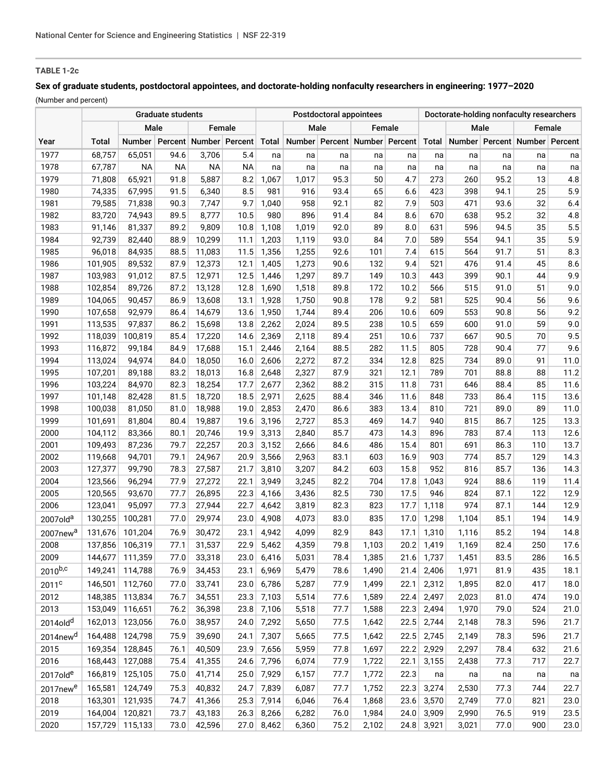# **TABLE 1-2c**

# **Sex of graduate students, postdoctoral appointees, and doctorate-holding nonfaculty researchers in engineering: 1977–2020**

(Number and percent)

| Male<br>Male<br>Male<br>Female<br>Female<br>Female<br>Number   Percent   Number   Percent<br>Number Percent Number Percent<br>Number   Percent   Number   Percent<br>Total<br>Total<br>Total<br>Year<br>1977<br>68,757<br>3,706<br>5.4<br>65,051<br>94.6<br>na<br>na<br>na<br>na<br>na<br>na<br>na<br>na<br>na<br>na<br>1978<br>67,787<br>NА<br>ΝA<br>NА<br>NА<br>na<br>na<br>na<br>na<br>na<br>na<br>na<br>na<br>na<br>na<br>4.8<br>1979<br>65,921<br>91.8<br>5,887<br>8.2<br>1,067<br>1,017<br>95.3<br>50<br>4.7<br>273<br>260<br>95.2<br>13<br>71,808<br>8.5<br>25<br>5.9<br>1980<br>74,335<br>67,995<br>91.5<br>981<br>916<br>93.4<br>65<br>6.6<br>423<br>398<br>94.1<br>6,340<br>82<br>1981<br>79,585<br>71,838<br>90.3<br>9.7<br>1,040<br>958<br>92.1<br>7.9<br>503<br>471<br>93.6<br>32<br>6.4<br>7,747<br>1982<br>83,720<br>74,943<br>8,777<br>10.5<br>980<br>896<br>84<br>670<br>638<br>95.2<br>32<br>4.8<br>89.5<br>91.4<br>8.6<br>5.5<br>1983<br>81,337<br>1,108<br>89<br>8.0<br>631<br>596<br>35<br>91,146<br>89.2<br>9,809<br>10.8<br>1,019<br>92.0<br>94.5<br>5.9<br>1984<br>92,739<br>84<br>7.0<br>589<br>554<br>35<br>82,440<br>88.9<br>10,299<br>11.1<br>1,203<br>1,119<br>93.0<br>94.1<br>1985<br>96,018<br>84,935<br>88.5<br>1,356<br>1,255<br>101<br>7.4<br>564<br>91.7<br>51<br>8.3<br>11,083<br>11.5<br>92.6<br>615<br>8.6<br>1986<br>101,905<br>89,532<br>87.9<br>12,373<br>12.1<br>1,405<br>1,273<br>132<br>9.4<br>521<br>476<br>91.4<br>45<br>90.6<br>9.9<br>1987<br>103,983<br>91,012<br>87.5<br>12,971<br>12.5<br>1,446<br>1,297<br>89.7<br>149<br>10.3<br>443<br>399<br>44<br>90.1<br>9.0<br>1988<br>102,854<br>87.2<br>1,518<br>172<br>10.2<br>515<br>51<br>89,726<br>13,128<br>12.8<br>1,690<br>89.8<br>566<br>91.0<br>9.2<br>9.6<br>1989<br>1,750<br>581<br>525<br>56<br>104,065<br>90,457<br>86.9<br>13,608<br>13.1<br>1,928<br>90.8<br>178<br>90.4<br>9.2<br>1990<br>107,658<br>1,744<br>10.6<br>609<br>553<br>56<br>92,979<br>86.4<br>14,679<br>13.6<br>1,950<br>89.4<br>206<br>90.8<br>10.5<br>9.0<br>1991<br>113,535<br>97,837<br>86.2<br>15,698<br>2,262<br>2,024<br>89.5<br>238<br>659<br>600<br>59<br>13.8<br>91.0<br>737<br>9.5<br>1992<br>118,039<br>100,819<br>85.4<br>17,220<br>14.6<br>2,369<br>2,118<br>89.4<br>251<br>10.6<br>667<br>90.5<br>70<br>77<br>9.6<br>1993<br>116,872<br>99,184<br>84.9<br>17,688<br>15.1<br>2,446<br>2,164<br>88.5<br>282<br>11.5<br>805<br>728<br>90.4<br>825<br>1994<br>113,024<br>94,974<br>18,050<br>2,606<br>2,272<br>87.2<br>334<br>12.8<br>734<br>91<br>11.0<br>84.0<br>16.0<br>89.0<br>1995<br>107,201<br>83.2<br>2,648<br>2,327<br>87.9<br>321<br>12.1<br>789<br>701<br>88<br>11.2<br>89,188<br>18,013<br>16.8<br>88.8<br>1996<br>103,224<br>84,970<br>18,254<br>2,677<br>11.8<br>731<br>646<br>85<br>11.6<br>82.3<br>17.7<br>2,362<br>88.2<br>315<br>88.4<br>13.6<br>1997<br>101,148<br>81.5<br>18,720<br>2,971<br>2,625<br>88.4<br>346<br>11.6<br>848<br>733<br>86.4<br>115<br>82,428<br>18.5<br>1998<br>100,038<br>81,050<br>81.0<br>18,988<br>2,853<br>2,470<br>86.6<br>383<br>13.4<br>810<br>721<br>89.0<br>89<br>11.0<br>19.0<br>14.7<br>1999<br>101,691<br>19,887<br>3,196<br>2,727<br>85.3<br>469<br>940<br>815<br>86.7<br>125<br>13.3<br>81,804<br>80.4<br>19.6<br>2000<br>3,313<br>783<br>12.6<br>83,366<br>80.1<br>20,746<br>19.9<br>2,840<br>85.7<br>473<br>14.3<br>896<br>87.4<br>113<br>104,112<br>13.7<br>2001<br>79.7<br>22,257<br>109,493<br>87,236<br>20.3<br>3,152<br>2,666<br>84.6<br>486<br>15.4<br>801<br>691<br>86.3<br>110<br>2002<br>94,701<br>16.9<br>774<br>85.7<br>14.3<br>119,668<br>79.1<br>24,967<br>20.9<br>3,566<br>2,963<br>83.1<br>603<br>903<br>129<br>2003<br>127,377<br>99,790<br>78.3<br>27,587<br>3,810<br>3,207<br>84.2<br>15.8<br>952<br>85.7<br>14.3<br>21.7<br>603<br>816<br>136<br>2004<br>123,566<br>96,294<br>77.9<br>27,272<br>22.1<br>3,949<br>3,245<br>82.2<br>704<br>17.8<br>1,043<br>924<br>88.6<br>119<br>11.4<br>2005<br>120,565<br>93,670<br>77.7<br>26,895<br>4,166<br>3,436<br>730<br>17.5<br>824<br>87.1<br>122<br>12.9<br>22.3<br>82.5<br>946<br>2006<br>123,041<br>17.7<br>974<br>12.9<br>95,097<br>77.3<br>27,944<br>22.7<br>4,642<br>3,819<br>82.3<br>823<br>1,118<br>87.1<br>144<br>14.9<br>130,255<br>100,281<br>77.0<br>29,974<br>4,908<br>835<br>1,298<br>23.0<br>4,073<br>83.0<br>17.0<br>1,104<br>85.1<br>194<br>2007old <sup>a</sup><br>14.8<br>76.9<br>30,472<br>23.1<br>4,942<br>4,099<br>82.9<br>843<br>1,310<br>85.2<br>131,676<br>101,204<br>17.1<br>1,116<br>194<br>2007new <sup>a</sup><br>31,537<br>5,462<br>4,359<br>79.8<br>250<br>17.6<br>2008<br>137,856<br>106,319<br>77.1<br>22.9<br>1,103<br>20.2<br>1,419<br>1,169<br>82.4<br>2009<br>111,359<br>33,318<br>1,737<br>1,451<br>83.5<br>16.5<br>144,677<br>77.0<br>23.0<br>6,416<br>5,031<br>78.4<br>1,385<br>21.6<br>286<br>2010b,c<br>149,241<br>114,788<br>76.9<br>34,453<br>6,969<br>5,479<br>1,490<br>2,406<br>1,971<br>435<br>18.1<br>23.1<br>78.6<br>21.4<br>81.9<br>146,501<br>112,760<br>33,741<br>6,786<br>5,287<br>2,312<br>18.0<br>2011 <sup>c</sup><br>77.0<br>23.0<br>77.9<br>1,499<br>22.1<br>1,895<br>82.0<br>417<br>2012<br>148,385<br>113,834<br>76.7<br>34,551<br>7,103<br>5,514<br>2,497<br>19.0<br>23.3<br>77.6<br>1,589<br>22.4<br>2,023<br>81.0<br>474<br>2013<br>153,049<br>116,651<br>76.2<br>36,398<br>7,106<br>5,518<br>77.7<br>2,494<br>1,970<br>23.8<br>1,588<br>22.3<br>79.0<br>524<br>21.0<br>162,013<br>123,056<br>7,292<br>2,744<br>2014old <sup>d</sup><br>76.0<br>38,957<br>24.0<br>5,650<br>77.5<br>1,642<br>22.5<br>2,148<br>78.3<br>596<br>164,488<br>124,798<br>75.9<br>39,690<br>24.1<br>7,307<br>5,665<br>1,642<br>22.5<br>2,745<br>2,149<br>21.7<br>2014new <sup>d</sup><br>77.5<br>78.3<br>596<br>2015<br>169,354<br>128,845<br>76.1<br>40,509<br>23.9<br>7,656<br>5,959<br>1,697<br>22.2<br>2,929<br>2,297<br>21.6<br>77.8<br>78.4<br>632<br>2016<br>41,355<br>6,074<br>168,443<br>127,088<br>75.4<br>24.6<br>7,796<br>77.9<br>1,722<br>22.1<br>3,155<br>2,438<br>77.3<br>717<br>22.7<br>166,819<br>125,105<br>75.0<br>41,714<br>7,929<br>22.3<br>25.0<br>6,157<br>77.7<br>1,772<br>2017old <sup>e</sup><br>na<br>na<br>na<br>na<br>na<br>165,581<br>124,749<br>75.3<br>40,832<br>7,839<br>3,274<br>2,530<br>77.3<br>24.7<br>6,087<br>77.7<br>1,752<br>22.3<br>744<br>2017new <sup>e</sup><br>2018<br>121,935<br>163,301<br>74.7<br>41,366<br>25.3<br>7,914<br>6,046<br>23.6<br>3,570<br>2,749<br>23.0<br>76.4<br>1,868<br>77.0<br>821<br>2019<br>164,004<br>120,821<br>73.7<br>43,183<br>6,282<br>24.0<br>3,909<br>2,990<br>23.5<br>26.3<br>8,266<br>76.0<br>1,984<br>76.5<br>919<br>157,729 115,133<br>$24.8$ 3,921 |      | Graduate students |  |      |        |      |       |       | Postdoctoral appointees |       |  | Doctorate-holding nonfaculty researchers |       |      |     |      |  |
|---------------------------------------------------------------------------------------------------------------------------------------------------------------------------------------------------------------------------------------------------------------------------------------------------------------------------------------------------------------------------------------------------------------------------------------------------------------------------------------------------------------------------------------------------------------------------------------------------------------------------------------------------------------------------------------------------------------------------------------------------------------------------------------------------------------------------------------------------------------------------------------------------------------------------------------------------------------------------------------------------------------------------------------------------------------------------------------------------------------------------------------------------------------------------------------------------------------------------------------------------------------------------------------------------------------------------------------------------------------------------------------------------------------------------------------------------------------------------------------------------------------------------------------------------------------------------------------------------------------------------------------------------------------------------------------------------------------------------------------------------------------------------------------------------------------------------------------------------------------------------------------------------------------------------------------------------------------------------------------------------------------------------------------------------------------------------------------------------------------------------------------------------------------------------------------------------------------------------------------------------------------------------------------------------------------------------------------------------------------------------------------------------------------------------------------------------------------------------------------------------------------------------------------------------------------------------------------------------------------------------------------------------------------------------------------------------------------------------------------------------------------------------------------------------------------------------------------------------------------------------------------------------------------------------------------------------------------------------------------------------------------------------------------------------------------------------------------------------------------------------------------------------------------------------------------------------------------------------------------------------------------------------------------------------------------------------------------------------------------------------------------------------------------------------------------------------------------------------------------------------------------------------------------------------------------------------------------------------------------------------------------------------------------------------------------------------------------------------------------------------------------------------------------------------------------------------------------------------------------------------------------------------------------------------------------------------------------------------------------------------------------------------------------------------------------------------------------------------------------------------------------------------------------------------------------------------------------------------------------------------------------------------------------------------------------------------------------------------------------------------------------------------------------------------------------------------------------------------------------------------------------------------------------------------------------------------------------------------------------------------------------------------------------------------------------------------------------------------------------------------------------------------------------------------------------------------------------------------------------------------------------------------------------------------------------------------------------------------------------------------------------------------------------------------------------------------------------------------------------------------------------------------------------------------------------------------------------------------------------------------------------------------------------------------------------------------------------------------------------------------------------------------------------------------------------------------------------------------------------------------------------------------------------------------------------------------------------------------------------------------------------------------------------------------------------------------------------------------------------------------------------------------------------------------------------------------------------------------------------------------------------------------------------------------------------------------------------------------------------------------------------------------------------------------------------------------------------------------------------------------------------------------------------------------------------------------------------------------------------------------------------------------------------------------------------------------------------------------------------------------------------------------------------------------------------------------------------------------------------------------------------------------------------------------------------------------------------------------------------------------------------------------------------------------------------|------|-------------------|--|------|--------|------|-------|-------|-------------------------|-------|--|------------------------------------------|-------|------|-----|------|--|
| 21.7<br>22.7                                                                                                                                                                                                                                                                                                                                                                                                                                                                                                                                                                                                                                                                                                                                                                                                                                                                                                                                                                                                                                                                                                                                                                                                                                                                                                                                                                                                                                                                                                                                                                                                                                                                                                                                                                                                                                                                                                                                                                                                                                                                                                                                                                                                                                                                                                                                                                                                                                                                                                                                                                                                                                                                                                                                                                                                                                                                                                                                                                                                                                                                                                                                                                                                                                                                                                                                                                                                                                                                                                                                                                                                                                                                                                                                                                                                                                                                                                                                                                                                                                                                                                                                                                                                                                                                                                                                                                                                                                                                                                                                                                                                                                                                                                                                                                                                                                                                                                                                                                                                                                                                                                                                                                                                                                                                                                                                                                                                                                                                                                                                                                                                                                                                                                                                                                                                                                                                                                                                                                                                                                                                                                                                                                                                                                                                                                                                                                                                                                                                                                                                                                                                                                                                          |      |                   |  |      |        |      |       |       |                         |       |  |                                          |       |      |     |      |  |
|                                                                                                                                                                                                                                                                                                                                                                                                                                                                                                                                                                                                                                                                                                                                                                                                                                                                                                                                                                                                                                                                                                                                                                                                                                                                                                                                                                                                                                                                                                                                                                                                                                                                                                                                                                                                                                                                                                                                                                                                                                                                                                                                                                                                                                                                                                                                                                                                                                                                                                                                                                                                                                                                                                                                                                                                                                                                                                                                                                                                                                                                                                                                                                                                                                                                                                                                                                                                                                                                                                                                                                                                                                                                                                                                                                                                                                                                                                                                                                                                                                                                                                                                                                                                                                                                                                                                                                                                                                                                                                                                                                                                                                                                                                                                                                                                                                                                                                                                                                                                                                                                                                                                                                                                                                                                                                                                                                                                                                                                                                                                                                                                                                                                                                                                                                                                                                                                                                                                                                                                                                                                                                                                                                                                                                                                                                                                                                                                                                                                                                                                                                                                                                                                                       |      |                   |  |      |        |      |       |       |                         |       |  |                                          |       |      |     |      |  |
|                                                                                                                                                                                                                                                                                                                                                                                                                                                                                                                                                                                                                                                                                                                                                                                                                                                                                                                                                                                                                                                                                                                                                                                                                                                                                                                                                                                                                                                                                                                                                                                                                                                                                                                                                                                                                                                                                                                                                                                                                                                                                                                                                                                                                                                                                                                                                                                                                                                                                                                                                                                                                                                                                                                                                                                                                                                                                                                                                                                                                                                                                                                                                                                                                                                                                                                                                                                                                                                                                                                                                                                                                                                                                                                                                                                                                                                                                                                                                                                                                                                                                                                                                                                                                                                                                                                                                                                                                                                                                                                                                                                                                                                                                                                                                                                                                                                                                                                                                                                                                                                                                                                                                                                                                                                                                                                                                                                                                                                                                                                                                                                                                                                                                                                                                                                                                                                                                                                                                                                                                                                                                                                                                                                                                                                                                                                                                                                                                                                                                                                                                                                                                                                                                       |      |                   |  |      |        |      |       |       |                         |       |  |                                          |       |      |     |      |  |
|                                                                                                                                                                                                                                                                                                                                                                                                                                                                                                                                                                                                                                                                                                                                                                                                                                                                                                                                                                                                                                                                                                                                                                                                                                                                                                                                                                                                                                                                                                                                                                                                                                                                                                                                                                                                                                                                                                                                                                                                                                                                                                                                                                                                                                                                                                                                                                                                                                                                                                                                                                                                                                                                                                                                                                                                                                                                                                                                                                                                                                                                                                                                                                                                                                                                                                                                                                                                                                                                                                                                                                                                                                                                                                                                                                                                                                                                                                                                                                                                                                                                                                                                                                                                                                                                                                                                                                                                                                                                                                                                                                                                                                                                                                                                                                                                                                                                                                                                                                                                                                                                                                                                                                                                                                                                                                                                                                                                                                                                                                                                                                                                                                                                                                                                                                                                                                                                                                                                                                                                                                                                                                                                                                                                                                                                                                                                                                                                                                                                                                                                                                                                                                                                                       |      |                   |  |      |        |      |       |       |                         |       |  |                                          |       |      |     |      |  |
|                                                                                                                                                                                                                                                                                                                                                                                                                                                                                                                                                                                                                                                                                                                                                                                                                                                                                                                                                                                                                                                                                                                                                                                                                                                                                                                                                                                                                                                                                                                                                                                                                                                                                                                                                                                                                                                                                                                                                                                                                                                                                                                                                                                                                                                                                                                                                                                                                                                                                                                                                                                                                                                                                                                                                                                                                                                                                                                                                                                                                                                                                                                                                                                                                                                                                                                                                                                                                                                                                                                                                                                                                                                                                                                                                                                                                                                                                                                                                                                                                                                                                                                                                                                                                                                                                                                                                                                                                                                                                                                                                                                                                                                                                                                                                                                                                                                                                                                                                                                                                                                                                                                                                                                                                                                                                                                                                                                                                                                                                                                                                                                                                                                                                                                                                                                                                                                                                                                                                                                                                                                                                                                                                                                                                                                                                                                                                                                                                                                                                                                                                                                                                                                                                       |      |                   |  |      |        |      |       |       |                         |       |  |                                          |       |      |     |      |  |
|                                                                                                                                                                                                                                                                                                                                                                                                                                                                                                                                                                                                                                                                                                                                                                                                                                                                                                                                                                                                                                                                                                                                                                                                                                                                                                                                                                                                                                                                                                                                                                                                                                                                                                                                                                                                                                                                                                                                                                                                                                                                                                                                                                                                                                                                                                                                                                                                                                                                                                                                                                                                                                                                                                                                                                                                                                                                                                                                                                                                                                                                                                                                                                                                                                                                                                                                                                                                                                                                                                                                                                                                                                                                                                                                                                                                                                                                                                                                                                                                                                                                                                                                                                                                                                                                                                                                                                                                                                                                                                                                                                                                                                                                                                                                                                                                                                                                                                                                                                                                                                                                                                                                                                                                                                                                                                                                                                                                                                                                                                                                                                                                                                                                                                                                                                                                                                                                                                                                                                                                                                                                                                                                                                                                                                                                                                                                                                                                                                                                                                                                                                                                                                                                                       |      |                   |  |      |        |      |       |       |                         |       |  |                                          |       |      |     |      |  |
|                                                                                                                                                                                                                                                                                                                                                                                                                                                                                                                                                                                                                                                                                                                                                                                                                                                                                                                                                                                                                                                                                                                                                                                                                                                                                                                                                                                                                                                                                                                                                                                                                                                                                                                                                                                                                                                                                                                                                                                                                                                                                                                                                                                                                                                                                                                                                                                                                                                                                                                                                                                                                                                                                                                                                                                                                                                                                                                                                                                                                                                                                                                                                                                                                                                                                                                                                                                                                                                                                                                                                                                                                                                                                                                                                                                                                                                                                                                                                                                                                                                                                                                                                                                                                                                                                                                                                                                                                                                                                                                                                                                                                                                                                                                                                                                                                                                                                                                                                                                                                                                                                                                                                                                                                                                                                                                                                                                                                                                                                                                                                                                                                                                                                                                                                                                                                                                                                                                                                                                                                                                                                                                                                                                                                                                                                                                                                                                                                                                                                                                                                                                                                                                                                       |      |                   |  |      |        |      |       |       |                         |       |  |                                          |       |      |     |      |  |
|                                                                                                                                                                                                                                                                                                                                                                                                                                                                                                                                                                                                                                                                                                                                                                                                                                                                                                                                                                                                                                                                                                                                                                                                                                                                                                                                                                                                                                                                                                                                                                                                                                                                                                                                                                                                                                                                                                                                                                                                                                                                                                                                                                                                                                                                                                                                                                                                                                                                                                                                                                                                                                                                                                                                                                                                                                                                                                                                                                                                                                                                                                                                                                                                                                                                                                                                                                                                                                                                                                                                                                                                                                                                                                                                                                                                                                                                                                                                                                                                                                                                                                                                                                                                                                                                                                                                                                                                                                                                                                                                                                                                                                                                                                                                                                                                                                                                                                                                                                                                                                                                                                                                                                                                                                                                                                                                                                                                                                                                                                                                                                                                                                                                                                                                                                                                                                                                                                                                                                                                                                                                                                                                                                                                                                                                                                                                                                                                                                                                                                                                                                                                                                                                                       |      |                   |  |      |        |      |       |       |                         |       |  |                                          |       |      |     |      |  |
|                                                                                                                                                                                                                                                                                                                                                                                                                                                                                                                                                                                                                                                                                                                                                                                                                                                                                                                                                                                                                                                                                                                                                                                                                                                                                                                                                                                                                                                                                                                                                                                                                                                                                                                                                                                                                                                                                                                                                                                                                                                                                                                                                                                                                                                                                                                                                                                                                                                                                                                                                                                                                                                                                                                                                                                                                                                                                                                                                                                                                                                                                                                                                                                                                                                                                                                                                                                                                                                                                                                                                                                                                                                                                                                                                                                                                                                                                                                                                                                                                                                                                                                                                                                                                                                                                                                                                                                                                                                                                                                                                                                                                                                                                                                                                                                                                                                                                                                                                                                                                                                                                                                                                                                                                                                                                                                                                                                                                                                                                                                                                                                                                                                                                                                                                                                                                                                                                                                                                                                                                                                                                                                                                                                                                                                                                                                                                                                                                                                                                                                                                                                                                                                                                       |      |                   |  |      |        |      |       |       |                         |       |  |                                          |       |      |     |      |  |
|                                                                                                                                                                                                                                                                                                                                                                                                                                                                                                                                                                                                                                                                                                                                                                                                                                                                                                                                                                                                                                                                                                                                                                                                                                                                                                                                                                                                                                                                                                                                                                                                                                                                                                                                                                                                                                                                                                                                                                                                                                                                                                                                                                                                                                                                                                                                                                                                                                                                                                                                                                                                                                                                                                                                                                                                                                                                                                                                                                                                                                                                                                                                                                                                                                                                                                                                                                                                                                                                                                                                                                                                                                                                                                                                                                                                                                                                                                                                                                                                                                                                                                                                                                                                                                                                                                                                                                                                                                                                                                                                                                                                                                                                                                                                                                                                                                                                                                                                                                                                                                                                                                                                                                                                                                                                                                                                                                                                                                                                                                                                                                                                                                                                                                                                                                                                                                                                                                                                                                                                                                                                                                                                                                                                                                                                                                                                                                                                                                                                                                                                                                                                                                                                                       |      |                   |  |      |        |      |       |       |                         |       |  |                                          |       |      |     |      |  |
|                                                                                                                                                                                                                                                                                                                                                                                                                                                                                                                                                                                                                                                                                                                                                                                                                                                                                                                                                                                                                                                                                                                                                                                                                                                                                                                                                                                                                                                                                                                                                                                                                                                                                                                                                                                                                                                                                                                                                                                                                                                                                                                                                                                                                                                                                                                                                                                                                                                                                                                                                                                                                                                                                                                                                                                                                                                                                                                                                                                                                                                                                                                                                                                                                                                                                                                                                                                                                                                                                                                                                                                                                                                                                                                                                                                                                                                                                                                                                                                                                                                                                                                                                                                                                                                                                                                                                                                                                                                                                                                                                                                                                                                                                                                                                                                                                                                                                                                                                                                                                                                                                                                                                                                                                                                                                                                                                                                                                                                                                                                                                                                                                                                                                                                                                                                                                                                                                                                                                                                                                                                                                                                                                                                                                                                                                                                                                                                                                                                                                                                                                                                                                                                                                       |      |                   |  |      |        |      |       |       |                         |       |  |                                          |       |      |     |      |  |
|                                                                                                                                                                                                                                                                                                                                                                                                                                                                                                                                                                                                                                                                                                                                                                                                                                                                                                                                                                                                                                                                                                                                                                                                                                                                                                                                                                                                                                                                                                                                                                                                                                                                                                                                                                                                                                                                                                                                                                                                                                                                                                                                                                                                                                                                                                                                                                                                                                                                                                                                                                                                                                                                                                                                                                                                                                                                                                                                                                                                                                                                                                                                                                                                                                                                                                                                                                                                                                                                                                                                                                                                                                                                                                                                                                                                                                                                                                                                                                                                                                                                                                                                                                                                                                                                                                                                                                                                                                                                                                                                                                                                                                                                                                                                                                                                                                                                                                                                                                                                                                                                                                                                                                                                                                                                                                                                                                                                                                                                                                                                                                                                                                                                                                                                                                                                                                                                                                                                                                                                                                                                                                                                                                                                                                                                                                                                                                                                                                                                                                                                                                                                                                                                                       |      |                   |  |      |        |      |       |       |                         |       |  |                                          |       |      |     |      |  |
|                                                                                                                                                                                                                                                                                                                                                                                                                                                                                                                                                                                                                                                                                                                                                                                                                                                                                                                                                                                                                                                                                                                                                                                                                                                                                                                                                                                                                                                                                                                                                                                                                                                                                                                                                                                                                                                                                                                                                                                                                                                                                                                                                                                                                                                                                                                                                                                                                                                                                                                                                                                                                                                                                                                                                                                                                                                                                                                                                                                                                                                                                                                                                                                                                                                                                                                                                                                                                                                                                                                                                                                                                                                                                                                                                                                                                                                                                                                                                                                                                                                                                                                                                                                                                                                                                                                                                                                                                                                                                                                                                                                                                                                                                                                                                                                                                                                                                                                                                                                                                                                                                                                                                                                                                                                                                                                                                                                                                                                                                                                                                                                                                                                                                                                                                                                                                                                                                                                                                                                                                                                                                                                                                                                                                                                                                                                                                                                                                                                                                                                                                                                                                                                                                       |      |                   |  |      |        |      |       |       |                         |       |  |                                          |       |      |     |      |  |
|                                                                                                                                                                                                                                                                                                                                                                                                                                                                                                                                                                                                                                                                                                                                                                                                                                                                                                                                                                                                                                                                                                                                                                                                                                                                                                                                                                                                                                                                                                                                                                                                                                                                                                                                                                                                                                                                                                                                                                                                                                                                                                                                                                                                                                                                                                                                                                                                                                                                                                                                                                                                                                                                                                                                                                                                                                                                                                                                                                                                                                                                                                                                                                                                                                                                                                                                                                                                                                                                                                                                                                                                                                                                                                                                                                                                                                                                                                                                                                                                                                                                                                                                                                                                                                                                                                                                                                                                                                                                                                                                                                                                                                                                                                                                                                                                                                                                                                                                                                                                                                                                                                                                                                                                                                                                                                                                                                                                                                                                                                                                                                                                                                                                                                                                                                                                                                                                                                                                                                                                                                                                                                                                                                                                                                                                                                                                                                                                                                                                                                                                                                                                                                                                                       |      |                   |  |      |        |      |       |       |                         |       |  |                                          |       |      |     |      |  |
|                                                                                                                                                                                                                                                                                                                                                                                                                                                                                                                                                                                                                                                                                                                                                                                                                                                                                                                                                                                                                                                                                                                                                                                                                                                                                                                                                                                                                                                                                                                                                                                                                                                                                                                                                                                                                                                                                                                                                                                                                                                                                                                                                                                                                                                                                                                                                                                                                                                                                                                                                                                                                                                                                                                                                                                                                                                                                                                                                                                                                                                                                                                                                                                                                                                                                                                                                                                                                                                                                                                                                                                                                                                                                                                                                                                                                                                                                                                                                                                                                                                                                                                                                                                                                                                                                                                                                                                                                                                                                                                                                                                                                                                                                                                                                                                                                                                                                                                                                                                                                                                                                                                                                                                                                                                                                                                                                                                                                                                                                                                                                                                                                                                                                                                                                                                                                                                                                                                                                                                                                                                                                                                                                                                                                                                                                                                                                                                                                                                                                                                                                                                                                                                                                       |      |                   |  |      |        |      |       |       |                         |       |  |                                          |       |      |     |      |  |
|                                                                                                                                                                                                                                                                                                                                                                                                                                                                                                                                                                                                                                                                                                                                                                                                                                                                                                                                                                                                                                                                                                                                                                                                                                                                                                                                                                                                                                                                                                                                                                                                                                                                                                                                                                                                                                                                                                                                                                                                                                                                                                                                                                                                                                                                                                                                                                                                                                                                                                                                                                                                                                                                                                                                                                                                                                                                                                                                                                                                                                                                                                                                                                                                                                                                                                                                                                                                                                                                                                                                                                                                                                                                                                                                                                                                                                                                                                                                                                                                                                                                                                                                                                                                                                                                                                                                                                                                                                                                                                                                                                                                                                                                                                                                                                                                                                                                                                                                                                                                                                                                                                                                                                                                                                                                                                                                                                                                                                                                                                                                                                                                                                                                                                                                                                                                                                                                                                                                                                                                                                                                                                                                                                                                                                                                                                                                                                                                                                                                                                                                                                                                                                                                                       |      |                   |  |      |        |      |       |       |                         |       |  |                                          |       |      |     |      |  |
|                                                                                                                                                                                                                                                                                                                                                                                                                                                                                                                                                                                                                                                                                                                                                                                                                                                                                                                                                                                                                                                                                                                                                                                                                                                                                                                                                                                                                                                                                                                                                                                                                                                                                                                                                                                                                                                                                                                                                                                                                                                                                                                                                                                                                                                                                                                                                                                                                                                                                                                                                                                                                                                                                                                                                                                                                                                                                                                                                                                                                                                                                                                                                                                                                                                                                                                                                                                                                                                                                                                                                                                                                                                                                                                                                                                                                                                                                                                                                                                                                                                                                                                                                                                                                                                                                                                                                                                                                                                                                                                                                                                                                                                                                                                                                                                                                                                                                                                                                                                                                                                                                                                                                                                                                                                                                                                                                                                                                                                                                                                                                                                                                                                                                                                                                                                                                                                                                                                                                                                                                                                                                                                                                                                                                                                                                                                                                                                                                                                                                                                                                                                                                                                                                       |      |                   |  |      |        |      |       |       |                         |       |  |                                          |       |      |     |      |  |
|                                                                                                                                                                                                                                                                                                                                                                                                                                                                                                                                                                                                                                                                                                                                                                                                                                                                                                                                                                                                                                                                                                                                                                                                                                                                                                                                                                                                                                                                                                                                                                                                                                                                                                                                                                                                                                                                                                                                                                                                                                                                                                                                                                                                                                                                                                                                                                                                                                                                                                                                                                                                                                                                                                                                                                                                                                                                                                                                                                                                                                                                                                                                                                                                                                                                                                                                                                                                                                                                                                                                                                                                                                                                                                                                                                                                                                                                                                                                                                                                                                                                                                                                                                                                                                                                                                                                                                                                                                                                                                                                                                                                                                                                                                                                                                                                                                                                                                                                                                                                                                                                                                                                                                                                                                                                                                                                                                                                                                                                                                                                                                                                                                                                                                                                                                                                                                                                                                                                                                                                                                                                                                                                                                                                                                                                                                                                                                                                                                                                                                                                                                                                                                                                                       |      |                   |  |      |        |      |       |       |                         |       |  |                                          |       |      |     |      |  |
|                                                                                                                                                                                                                                                                                                                                                                                                                                                                                                                                                                                                                                                                                                                                                                                                                                                                                                                                                                                                                                                                                                                                                                                                                                                                                                                                                                                                                                                                                                                                                                                                                                                                                                                                                                                                                                                                                                                                                                                                                                                                                                                                                                                                                                                                                                                                                                                                                                                                                                                                                                                                                                                                                                                                                                                                                                                                                                                                                                                                                                                                                                                                                                                                                                                                                                                                                                                                                                                                                                                                                                                                                                                                                                                                                                                                                                                                                                                                                                                                                                                                                                                                                                                                                                                                                                                                                                                                                                                                                                                                                                                                                                                                                                                                                                                                                                                                                                                                                                                                                                                                                                                                                                                                                                                                                                                                                                                                                                                                                                                                                                                                                                                                                                                                                                                                                                                                                                                                                                                                                                                                                                                                                                                                                                                                                                                                                                                                                                                                                                                                                                                                                                                                                       |      |                   |  |      |        |      |       |       |                         |       |  |                                          |       |      |     |      |  |
|                                                                                                                                                                                                                                                                                                                                                                                                                                                                                                                                                                                                                                                                                                                                                                                                                                                                                                                                                                                                                                                                                                                                                                                                                                                                                                                                                                                                                                                                                                                                                                                                                                                                                                                                                                                                                                                                                                                                                                                                                                                                                                                                                                                                                                                                                                                                                                                                                                                                                                                                                                                                                                                                                                                                                                                                                                                                                                                                                                                                                                                                                                                                                                                                                                                                                                                                                                                                                                                                                                                                                                                                                                                                                                                                                                                                                                                                                                                                                                                                                                                                                                                                                                                                                                                                                                                                                                                                                                                                                                                                                                                                                                                                                                                                                                                                                                                                                                                                                                                                                                                                                                                                                                                                                                                                                                                                                                                                                                                                                                                                                                                                                                                                                                                                                                                                                                                                                                                                                                                                                                                                                                                                                                                                                                                                                                                                                                                                                                                                                                                                                                                                                                                                                       |      |                   |  |      |        |      |       |       |                         |       |  |                                          |       |      |     |      |  |
|                                                                                                                                                                                                                                                                                                                                                                                                                                                                                                                                                                                                                                                                                                                                                                                                                                                                                                                                                                                                                                                                                                                                                                                                                                                                                                                                                                                                                                                                                                                                                                                                                                                                                                                                                                                                                                                                                                                                                                                                                                                                                                                                                                                                                                                                                                                                                                                                                                                                                                                                                                                                                                                                                                                                                                                                                                                                                                                                                                                                                                                                                                                                                                                                                                                                                                                                                                                                                                                                                                                                                                                                                                                                                                                                                                                                                                                                                                                                                                                                                                                                                                                                                                                                                                                                                                                                                                                                                                                                                                                                                                                                                                                                                                                                                                                                                                                                                                                                                                                                                                                                                                                                                                                                                                                                                                                                                                                                                                                                                                                                                                                                                                                                                                                                                                                                                                                                                                                                                                                                                                                                                                                                                                                                                                                                                                                                                                                                                                                                                                                                                                                                                                                                                       |      |                   |  |      |        |      |       |       |                         |       |  |                                          |       |      |     |      |  |
|                                                                                                                                                                                                                                                                                                                                                                                                                                                                                                                                                                                                                                                                                                                                                                                                                                                                                                                                                                                                                                                                                                                                                                                                                                                                                                                                                                                                                                                                                                                                                                                                                                                                                                                                                                                                                                                                                                                                                                                                                                                                                                                                                                                                                                                                                                                                                                                                                                                                                                                                                                                                                                                                                                                                                                                                                                                                                                                                                                                                                                                                                                                                                                                                                                                                                                                                                                                                                                                                                                                                                                                                                                                                                                                                                                                                                                                                                                                                                                                                                                                                                                                                                                                                                                                                                                                                                                                                                                                                                                                                                                                                                                                                                                                                                                                                                                                                                                                                                                                                                                                                                                                                                                                                                                                                                                                                                                                                                                                                                                                                                                                                                                                                                                                                                                                                                                                                                                                                                                                                                                                                                                                                                                                                                                                                                                                                                                                                                                                                                                                                                                                                                                                                                       |      |                   |  |      |        |      |       |       |                         |       |  |                                          |       |      |     |      |  |
|                                                                                                                                                                                                                                                                                                                                                                                                                                                                                                                                                                                                                                                                                                                                                                                                                                                                                                                                                                                                                                                                                                                                                                                                                                                                                                                                                                                                                                                                                                                                                                                                                                                                                                                                                                                                                                                                                                                                                                                                                                                                                                                                                                                                                                                                                                                                                                                                                                                                                                                                                                                                                                                                                                                                                                                                                                                                                                                                                                                                                                                                                                                                                                                                                                                                                                                                                                                                                                                                                                                                                                                                                                                                                                                                                                                                                                                                                                                                                                                                                                                                                                                                                                                                                                                                                                                                                                                                                                                                                                                                                                                                                                                                                                                                                                                                                                                                                                                                                                                                                                                                                                                                                                                                                                                                                                                                                                                                                                                                                                                                                                                                                                                                                                                                                                                                                                                                                                                                                                                                                                                                                                                                                                                                                                                                                                                                                                                                                                                                                                                                                                                                                                                                                       |      |                   |  |      |        |      |       |       |                         |       |  |                                          |       |      |     |      |  |
|                                                                                                                                                                                                                                                                                                                                                                                                                                                                                                                                                                                                                                                                                                                                                                                                                                                                                                                                                                                                                                                                                                                                                                                                                                                                                                                                                                                                                                                                                                                                                                                                                                                                                                                                                                                                                                                                                                                                                                                                                                                                                                                                                                                                                                                                                                                                                                                                                                                                                                                                                                                                                                                                                                                                                                                                                                                                                                                                                                                                                                                                                                                                                                                                                                                                                                                                                                                                                                                                                                                                                                                                                                                                                                                                                                                                                                                                                                                                                                                                                                                                                                                                                                                                                                                                                                                                                                                                                                                                                                                                                                                                                                                                                                                                                                                                                                                                                                                                                                                                                                                                                                                                                                                                                                                                                                                                                                                                                                                                                                                                                                                                                                                                                                                                                                                                                                                                                                                                                                                                                                                                                                                                                                                                                                                                                                                                                                                                                                                                                                                                                                                                                                                                                       |      |                   |  |      |        |      |       |       |                         |       |  |                                          |       |      |     |      |  |
|                                                                                                                                                                                                                                                                                                                                                                                                                                                                                                                                                                                                                                                                                                                                                                                                                                                                                                                                                                                                                                                                                                                                                                                                                                                                                                                                                                                                                                                                                                                                                                                                                                                                                                                                                                                                                                                                                                                                                                                                                                                                                                                                                                                                                                                                                                                                                                                                                                                                                                                                                                                                                                                                                                                                                                                                                                                                                                                                                                                                                                                                                                                                                                                                                                                                                                                                                                                                                                                                                                                                                                                                                                                                                                                                                                                                                                                                                                                                                                                                                                                                                                                                                                                                                                                                                                                                                                                                                                                                                                                                                                                                                                                                                                                                                                                                                                                                                                                                                                                                                                                                                                                                                                                                                                                                                                                                                                                                                                                                                                                                                                                                                                                                                                                                                                                                                                                                                                                                                                                                                                                                                                                                                                                                                                                                                                                                                                                                                                                                                                                                                                                                                                                                                       |      |                   |  |      |        |      |       |       |                         |       |  |                                          |       |      |     |      |  |
|                                                                                                                                                                                                                                                                                                                                                                                                                                                                                                                                                                                                                                                                                                                                                                                                                                                                                                                                                                                                                                                                                                                                                                                                                                                                                                                                                                                                                                                                                                                                                                                                                                                                                                                                                                                                                                                                                                                                                                                                                                                                                                                                                                                                                                                                                                                                                                                                                                                                                                                                                                                                                                                                                                                                                                                                                                                                                                                                                                                                                                                                                                                                                                                                                                                                                                                                                                                                                                                                                                                                                                                                                                                                                                                                                                                                                                                                                                                                                                                                                                                                                                                                                                                                                                                                                                                                                                                                                                                                                                                                                                                                                                                                                                                                                                                                                                                                                                                                                                                                                                                                                                                                                                                                                                                                                                                                                                                                                                                                                                                                                                                                                                                                                                                                                                                                                                                                                                                                                                                                                                                                                                                                                                                                                                                                                                                                                                                                                                                                                                                                                                                                                                                                                       |      |                   |  |      |        |      |       |       |                         |       |  |                                          |       |      |     |      |  |
|                                                                                                                                                                                                                                                                                                                                                                                                                                                                                                                                                                                                                                                                                                                                                                                                                                                                                                                                                                                                                                                                                                                                                                                                                                                                                                                                                                                                                                                                                                                                                                                                                                                                                                                                                                                                                                                                                                                                                                                                                                                                                                                                                                                                                                                                                                                                                                                                                                                                                                                                                                                                                                                                                                                                                                                                                                                                                                                                                                                                                                                                                                                                                                                                                                                                                                                                                                                                                                                                                                                                                                                                                                                                                                                                                                                                                                                                                                                                                                                                                                                                                                                                                                                                                                                                                                                                                                                                                                                                                                                                                                                                                                                                                                                                                                                                                                                                                                                                                                                                                                                                                                                                                                                                                                                                                                                                                                                                                                                                                                                                                                                                                                                                                                                                                                                                                                                                                                                                                                                                                                                                                                                                                                                                                                                                                                                                                                                                                                                                                                                                                                                                                                                                                       |      |                   |  |      |        |      |       |       |                         |       |  |                                          |       |      |     |      |  |
|                                                                                                                                                                                                                                                                                                                                                                                                                                                                                                                                                                                                                                                                                                                                                                                                                                                                                                                                                                                                                                                                                                                                                                                                                                                                                                                                                                                                                                                                                                                                                                                                                                                                                                                                                                                                                                                                                                                                                                                                                                                                                                                                                                                                                                                                                                                                                                                                                                                                                                                                                                                                                                                                                                                                                                                                                                                                                                                                                                                                                                                                                                                                                                                                                                                                                                                                                                                                                                                                                                                                                                                                                                                                                                                                                                                                                                                                                                                                                                                                                                                                                                                                                                                                                                                                                                                                                                                                                                                                                                                                                                                                                                                                                                                                                                                                                                                                                                                                                                                                                                                                                                                                                                                                                                                                                                                                                                                                                                                                                                                                                                                                                                                                                                                                                                                                                                                                                                                                                                                                                                                                                                                                                                                                                                                                                                                                                                                                                                                                                                                                                                                                                                                                                       |      |                   |  |      |        |      |       |       |                         |       |  |                                          |       |      |     |      |  |
|                                                                                                                                                                                                                                                                                                                                                                                                                                                                                                                                                                                                                                                                                                                                                                                                                                                                                                                                                                                                                                                                                                                                                                                                                                                                                                                                                                                                                                                                                                                                                                                                                                                                                                                                                                                                                                                                                                                                                                                                                                                                                                                                                                                                                                                                                                                                                                                                                                                                                                                                                                                                                                                                                                                                                                                                                                                                                                                                                                                                                                                                                                                                                                                                                                                                                                                                                                                                                                                                                                                                                                                                                                                                                                                                                                                                                                                                                                                                                                                                                                                                                                                                                                                                                                                                                                                                                                                                                                                                                                                                                                                                                                                                                                                                                                                                                                                                                                                                                                                                                                                                                                                                                                                                                                                                                                                                                                                                                                                                                                                                                                                                                                                                                                                                                                                                                                                                                                                                                                                                                                                                                                                                                                                                                                                                                                                                                                                                                                                                                                                                                                                                                                                                                       |      |                   |  |      |        |      |       |       |                         |       |  |                                          |       |      |     |      |  |
|                                                                                                                                                                                                                                                                                                                                                                                                                                                                                                                                                                                                                                                                                                                                                                                                                                                                                                                                                                                                                                                                                                                                                                                                                                                                                                                                                                                                                                                                                                                                                                                                                                                                                                                                                                                                                                                                                                                                                                                                                                                                                                                                                                                                                                                                                                                                                                                                                                                                                                                                                                                                                                                                                                                                                                                                                                                                                                                                                                                                                                                                                                                                                                                                                                                                                                                                                                                                                                                                                                                                                                                                                                                                                                                                                                                                                                                                                                                                                                                                                                                                                                                                                                                                                                                                                                                                                                                                                                                                                                                                                                                                                                                                                                                                                                                                                                                                                                                                                                                                                                                                                                                                                                                                                                                                                                                                                                                                                                                                                                                                                                                                                                                                                                                                                                                                                                                                                                                                                                                                                                                                                                                                                                                                                                                                                                                                                                                                                                                                                                                                                                                                                                                                                       |      |                   |  |      |        |      |       |       |                         |       |  |                                          |       |      |     |      |  |
|                                                                                                                                                                                                                                                                                                                                                                                                                                                                                                                                                                                                                                                                                                                                                                                                                                                                                                                                                                                                                                                                                                                                                                                                                                                                                                                                                                                                                                                                                                                                                                                                                                                                                                                                                                                                                                                                                                                                                                                                                                                                                                                                                                                                                                                                                                                                                                                                                                                                                                                                                                                                                                                                                                                                                                                                                                                                                                                                                                                                                                                                                                                                                                                                                                                                                                                                                                                                                                                                                                                                                                                                                                                                                                                                                                                                                                                                                                                                                                                                                                                                                                                                                                                                                                                                                                                                                                                                                                                                                                                                                                                                                                                                                                                                                                                                                                                                                                                                                                                                                                                                                                                                                                                                                                                                                                                                                                                                                                                                                                                                                                                                                                                                                                                                                                                                                                                                                                                                                                                                                                                                                                                                                                                                                                                                                                                                                                                                                                                                                                                                                                                                                                                                                       |      |                   |  |      |        |      |       |       |                         |       |  |                                          |       |      |     |      |  |
|                                                                                                                                                                                                                                                                                                                                                                                                                                                                                                                                                                                                                                                                                                                                                                                                                                                                                                                                                                                                                                                                                                                                                                                                                                                                                                                                                                                                                                                                                                                                                                                                                                                                                                                                                                                                                                                                                                                                                                                                                                                                                                                                                                                                                                                                                                                                                                                                                                                                                                                                                                                                                                                                                                                                                                                                                                                                                                                                                                                                                                                                                                                                                                                                                                                                                                                                                                                                                                                                                                                                                                                                                                                                                                                                                                                                                                                                                                                                                                                                                                                                                                                                                                                                                                                                                                                                                                                                                                                                                                                                                                                                                                                                                                                                                                                                                                                                                                                                                                                                                                                                                                                                                                                                                                                                                                                                                                                                                                                                                                                                                                                                                                                                                                                                                                                                                                                                                                                                                                                                                                                                                                                                                                                                                                                                                                                                                                                                                                                                                                                                                                                                                                                                                       |      |                   |  |      |        |      |       |       |                         |       |  |                                          |       |      |     |      |  |
|                                                                                                                                                                                                                                                                                                                                                                                                                                                                                                                                                                                                                                                                                                                                                                                                                                                                                                                                                                                                                                                                                                                                                                                                                                                                                                                                                                                                                                                                                                                                                                                                                                                                                                                                                                                                                                                                                                                                                                                                                                                                                                                                                                                                                                                                                                                                                                                                                                                                                                                                                                                                                                                                                                                                                                                                                                                                                                                                                                                                                                                                                                                                                                                                                                                                                                                                                                                                                                                                                                                                                                                                                                                                                                                                                                                                                                                                                                                                                                                                                                                                                                                                                                                                                                                                                                                                                                                                                                                                                                                                                                                                                                                                                                                                                                                                                                                                                                                                                                                                                                                                                                                                                                                                                                                                                                                                                                                                                                                                                                                                                                                                                                                                                                                                                                                                                                                                                                                                                                                                                                                                                                                                                                                                                                                                                                                                                                                                                                                                                                                                                                                                                                                                                       |      |                   |  |      |        |      |       |       |                         |       |  |                                          |       |      |     |      |  |
|                                                                                                                                                                                                                                                                                                                                                                                                                                                                                                                                                                                                                                                                                                                                                                                                                                                                                                                                                                                                                                                                                                                                                                                                                                                                                                                                                                                                                                                                                                                                                                                                                                                                                                                                                                                                                                                                                                                                                                                                                                                                                                                                                                                                                                                                                                                                                                                                                                                                                                                                                                                                                                                                                                                                                                                                                                                                                                                                                                                                                                                                                                                                                                                                                                                                                                                                                                                                                                                                                                                                                                                                                                                                                                                                                                                                                                                                                                                                                                                                                                                                                                                                                                                                                                                                                                                                                                                                                                                                                                                                                                                                                                                                                                                                                                                                                                                                                                                                                                                                                                                                                                                                                                                                                                                                                                                                                                                                                                                                                                                                                                                                                                                                                                                                                                                                                                                                                                                                                                                                                                                                                                                                                                                                                                                                                                                                                                                                                                                                                                                                                                                                                                                                                       |      |                   |  |      |        |      |       |       |                         |       |  |                                          |       |      |     |      |  |
|                                                                                                                                                                                                                                                                                                                                                                                                                                                                                                                                                                                                                                                                                                                                                                                                                                                                                                                                                                                                                                                                                                                                                                                                                                                                                                                                                                                                                                                                                                                                                                                                                                                                                                                                                                                                                                                                                                                                                                                                                                                                                                                                                                                                                                                                                                                                                                                                                                                                                                                                                                                                                                                                                                                                                                                                                                                                                                                                                                                                                                                                                                                                                                                                                                                                                                                                                                                                                                                                                                                                                                                                                                                                                                                                                                                                                                                                                                                                                                                                                                                                                                                                                                                                                                                                                                                                                                                                                                                                                                                                                                                                                                                                                                                                                                                                                                                                                                                                                                                                                                                                                                                                                                                                                                                                                                                                                                                                                                                                                                                                                                                                                                                                                                                                                                                                                                                                                                                                                                                                                                                                                                                                                                                                                                                                                                                                                                                                                                                                                                                                                                                                                                                                                       |      |                   |  |      |        |      |       |       |                         |       |  |                                          |       |      |     |      |  |
|                                                                                                                                                                                                                                                                                                                                                                                                                                                                                                                                                                                                                                                                                                                                                                                                                                                                                                                                                                                                                                                                                                                                                                                                                                                                                                                                                                                                                                                                                                                                                                                                                                                                                                                                                                                                                                                                                                                                                                                                                                                                                                                                                                                                                                                                                                                                                                                                                                                                                                                                                                                                                                                                                                                                                                                                                                                                                                                                                                                                                                                                                                                                                                                                                                                                                                                                                                                                                                                                                                                                                                                                                                                                                                                                                                                                                                                                                                                                                                                                                                                                                                                                                                                                                                                                                                                                                                                                                                                                                                                                                                                                                                                                                                                                                                                                                                                                                                                                                                                                                                                                                                                                                                                                                                                                                                                                                                                                                                                                                                                                                                                                                                                                                                                                                                                                                                                                                                                                                                                                                                                                                                                                                                                                                                                                                                                                                                                                                                                                                                                                                                                                                                                                                       |      |                   |  |      |        |      |       |       |                         |       |  |                                          |       |      |     |      |  |
|                                                                                                                                                                                                                                                                                                                                                                                                                                                                                                                                                                                                                                                                                                                                                                                                                                                                                                                                                                                                                                                                                                                                                                                                                                                                                                                                                                                                                                                                                                                                                                                                                                                                                                                                                                                                                                                                                                                                                                                                                                                                                                                                                                                                                                                                                                                                                                                                                                                                                                                                                                                                                                                                                                                                                                                                                                                                                                                                                                                                                                                                                                                                                                                                                                                                                                                                                                                                                                                                                                                                                                                                                                                                                                                                                                                                                                                                                                                                                                                                                                                                                                                                                                                                                                                                                                                                                                                                                                                                                                                                                                                                                                                                                                                                                                                                                                                                                                                                                                                                                                                                                                                                                                                                                                                                                                                                                                                                                                                                                                                                                                                                                                                                                                                                                                                                                                                                                                                                                                                                                                                                                                                                                                                                                                                                                                                                                                                                                                                                                                                                                                                                                                                                                       |      |                   |  |      |        |      |       |       |                         |       |  |                                          |       |      |     |      |  |
|                                                                                                                                                                                                                                                                                                                                                                                                                                                                                                                                                                                                                                                                                                                                                                                                                                                                                                                                                                                                                                                                                                                                                                                                                                                                                                                                                                                                                                                                                                                                                                                                                                                                                                                                                                                                                                                                                                                                                                                                                                                                                                                                                                                                                                                                                                                                                                                                                                                                                                                                                                                                                                                                                                                                                                                                                                                                                                                                                                                                                                                                                                                                                                                                                                                                                                                                                                                                                                                                                                                                                                                                                                                                                                                                                                                                                                                                                                                                                                                                                                                                                                                                                                                                                                                                                                                                                                                                                                                                                                                                                                                                                                                                                                                                                                                                                                                                                                                                                                                                                                                                                                                                                                                                                                                                                                                                                                                                                                                                                                                                                                                                                                                                                                                                                                                                                                                                                                                                                                                                                                                                                                                                                                                                                                                                                                                                                                                                                                                                                                                                                                                                                                                                                       |      |                   |  |      |        |      |       |       |                         |       |  |                                          |       |      |     |      |  |
|                                                                                                                                                                                                                                                                                                                                                                                                                                                                                                                                                                                                                                                                                                                                                                                                                                                                                                                                                                                                                                                                                                                                                                                                                                                                                                                                                                                                                                                                                                                                                                                                                                                                                                                                                                                                                                                                                                                                                                                                                                                                                                                                                                                                                                                                                                                                                                                                                                                                                                                                                                                                                                                                                                                                                                                                                                                                                                                                                                                                                                                                                                                                                                                                                                                                                                                                                                                                                                                                                                                                                                                                                                                                                                                                                                                                                                                                                                                                                                                                                                                                                                                                                                                                                                                                                                                                                                                                                                                                                                                                                                                                                                                                                                                                                                                                                                                                                                                                                                                                                                                                                                                                                                                                                                                                                                                                                                                                                                                                                                                                                                                                                                                                                                                                                                                                                                                                                                                                                                                                                                                                                                                                                                                                                                                                                                                                                                                                                                                                                                                                                                                                                                                                                       |      |                   |  |      |        |      |       |       |                         |       |  |                                          |       |      |     |      |  |
|                                                                                                                                                                                                                                                                                                                                                                                                                                                                                                                                                                                                                                                                                                                                                                                                                                                                                                                                                                                                                                                                                                                                                                                                                                                                                                                                                                                                                                                                                                                                                                                                                                                                                                                                                                                                                                                                                                                                                                                                                                                                                                                                                                                                                                                                                                                                                                                                                                                                                                                                                                                                                                                                                                                                                                                                                                                                                                                                                                                                                                                                                                                                                                                                                                                                                                                                                                                                                                                                                                                                                                                                                                                                                                                                                                                                                                                                                                                                                                                                                                                                                                                                                                                                                                                                                                                                                                                                                                                                                                                                                                                                                                                                                                                                                                                                                                                                                                                                                                                                                                                                                                                                                                                                                                                                                                                                                                                                                                                                                                                                                                                                                                                                                                                                                                                                                                                                                                                                                                                                                                                                                                                                                                                                                                                                                                                                                                                                                                                                                                                                                                                                                                                                                       |      |                   |  |      |        |      |       |       |                         |       |  |                                          |       |      |     |      |  |
|                                                                                                                                                                                                                                                                                                                                                                                                                                                                                                                                                                                                                                                                                                                                                                                                                                                                                                                                                                                                                                                                                                                                                                                                                                                                                                                                                                                                                                                                                                                                                                                                                                                                                                                                                                                                                                                                                                                                                                                                                                                                                                                                                                                                                                                                                                                                                                                                                                                                                                                                                                                                                                                                                                                                                                                                                                                                                                                                                                                                                                                                                                                                                                                                                                                                                                                                                                                                                                                                                                                                                                                                                                                                                                                                                                                                                                                                                                                                                                                                                                                                                                                                                                                                                                                                                                                                                                                                                                                                                                                                                                                                                                                                                                                                                                                                                                                                                                                                                                                                                                                                                                                                                                                                                                                                                                                                                                                                                                                                                                                                                                                                                                                                                                                                                                                                                                                                                                                                                                                                                                                                                                                                                                                                                                                                                                                                                                                                                                                                                                                                                                                                                                                                                       |      |                   |  |      |        |      |       |       |                         |       |  |                                          |       |      |     |      |  |
|                                                                                                                                                                                                                                                                                                                                                                                                                                                                                                                                                                                                                                                                                                                                                                                                                                                                                                                                                                                                                                                                                                                                                                                                                                                                                                                                                                                                                                                                                                                                                                                                                                                                                                                                                                                                                                                                                                                                                                                                                                                                                                                                                                                                                                                                                                                                                                                                                                                                                                                                                                                                                                                                                                                                                                                                                                                                                                                                                                                                                                                                                                                                                                                                                                                                                                                                                                                                                                                                                                                                                                                                                                                                                                                                                                                                                                                                                                                                                                                                                                                                                                                                                                                                                                                                                                                                                                                                                                                                                                                                                                                                                                                                                                                                                                                                                                                                                                                                                                                                                                                                                                                                                                                                                                                                                                                                                                                                                                                                                                                                                                                                                                                                                                                                                                                                                                                                                                                                                                                                                                                                                                                                                                                                                                                                                                                                                                                                                                                                                                                                                                                                                                                                                       |      |                   |  |      |        |      |       |       |                         |       |  |                                          |       |      |     |      |  |
|                                                                                                                                                                                                                                                                                                                                                                                                                                                                                                                                                                                                                                                                                                                                                                                                                                                                                                                                                                                                                                                                                                                                                                                                                                                                                                                                                                                                                                                                                                                                                                                                                                                                                                                                                                                                                                                                                                                                                                                                                                                                                                                                                                                                                                                                                                                                                                                                                                                                                                                                                                                                                                                                                                                                                                                                                                                                                                                                                                                                                                                                                                                                                                                                                                                                                                                                                                                                                                                                                                                                                                                                                                                                                                                                                                                                                                                                                                                                                                                                                                                                                                                                                                                                                                                                                                                                                                                                                                                                                                                                                                                                                                                                                                                                                                                                                                                                                                                                                                                                                                                                                                                                                                                                                                                                                                                                                                                                                                                                                                                                                                                                                                                                                                                                                                                                                                                                                                                                                                                                                                                                                                                                                                                                                                                                                                                                                                                                                                                                                                                                                                                                                                                                                       |      |                   |  |      |        |      |       |       |                         |       |  |                                          |       |      |     |      |  |
|                                                                                                                                                                                                                                                                                                                                                                                                                                                                                                                                                                                                                                                                                                                                                                                                                                                                                                                                                                                                                                                                                                                                                                                                                                                                                                                                                                                                                                                                                                                                                                                                                                                                                                                                                                                                                                                                                                                                                                                                                                                                                                                                                                                                                                                                                                                                                                                                                                                                                                                                                                                                                                                                                                                                                                                                                                                                                                                                                                                                                                                                                                                                                                                                                                                                                                                                                                                                                                                                                                                                                                                                                                                                                                                                                                                                                                                                                                                                                                                                                                                                                                                                                                                                                                                                                                                                                                                                                                                                                                                                                                                                                                                                                                                                                                                                                                                                                                                                                                                                                                                                                                                                                                                                                                                                                                                                                                                                                                                                                                                                                                                                                                                                                                                                                                                                                                                                                                                                                                                                                                                                                                                                                                                                                                                                                                                                                                                                                                                                                                                                                                                                                                                                                       |      |                   |  |      |        |      |       |       |                         |       |  |                                          |       |      |     |      |  |
|                                                                                                                                                                                                                                                                                                                                                                                                                                                                                                                                                                                                                                                                                                                                                                                                                                                                                                                                                                                                                                                                                                                                                                                                                                                                                                                                                                                                                                                                                                                                                                                                                                                                                                                                                                                                                                                                                                                                                                                                                                                                                                                                                                                                                                                                                                                                                                                                                                                                                                                                                                                                                                                                                                                                                                                                                                                                                                                                                                                                                                                                                                                                                                                                                                                                                                                                                                                                                                                                                                                                                                                                                                                                                                                                                                                                                                                                                                                                                                                                                                                                                                                                                                                                                                                                                                                                                                                                                                                                                                                                                                                                                                                                                                                                                                                                                                                                                                                                                                                                                                                                                                                                                                                                                                                                                                                                                                                                                                                                                                                                                                                                                                                                                                                                                                                                                                                                                                                                                                                                                                                                                                                                                                                                                                                                                                                                                                                                                                                                                                                                                                                                                                                                                       |      |                   |  |      |        |      |       |       |                         |       |  |                                          |       |      |     |      |  |
|                                                                                                                                                                                                                                                                                                                                                                                                                                                                                                                                                                                                                                                                                                                                                                                                                                                                                                                                                                                                                                                                                                                                                                                                                                                                                                                                                                                                                                                                                                                                                                                                                                                                                                                                                                                                                                                                                                                                                                                                                                                                                                                                                                                                                                                                                                                                                                                                                                                                                                                                                                                                                                                                                                                                                                                                                                                                                                                                                                                                                                                                                                                                                                                                                                                                                                                                                                                                                                                                                                                                                                                                                                                                                                                                                                                                                                                                                                                                                                                                                                                                                                                                                                                                                                                                                                                                                                                                                                                                                                                                                                                                                                                                                                                                                                                                                                                                                                                                                                                                                                                                                                                                                                                                                                                                                                                                                                                                                                                                                                                                                                                                                                                                                                                                                                                                                                                                                                                                                                                                                                                                                                                                                                                                                                                                                                                                                                                                                                                                                                                                                                                                                                                                                       |      |                   |  |      |        |      |       |       |                         |       |  |                                          |       |      |     |      |  |
|                                                                                                                                                                                                                                                                                                                                                                                                                                                                                                                                                                                                                                                                                                                                                                                                                                                                                                                                                                                                                                                                                                                                                                                                                                                                                                                                                                                                                                                                                                                                                                                                                                                                                                                                                                                                                                                                                                                                                                                                                                                                                                                                                                                                                                                                                                                                                                                                                                                                                                                                                                                                                                                                                                                                                                                                                                                                                                                                                                                                                                                                                                                                                                                                                                                                                                                                                                                                                                                                                                                                                                                                                                                                                                                                                                                                                                                                                                                                                                                                                                                                                                                                                                                                                                                                                                                                                                                                                                                                                                                                                                                                                                                                                                                                                                                                                                                                                                                                                                                                                                                                                                                                                                                                                                                                                                                                                                                                                                                                                                                                                                                                                                                                                                                                                                                                                                                                                                                                                                                                                                                                                                                                                                                                                                                                                                                                                                                                                                                                                                                                                                                                                                                                                       |      |                   |  |      |        |      |       |       |                         |       |  |                                          |       |      |     |      |  |
|                                                                                                                                                                                                                                                                                                                                                                                                                                                                                                                                                                                                                                                                                                                                                                                                                                                                                                                                                                                                                                                                                                                                                                                                                                                                                                                                                                                                                                                                                                                                                                                                                                                                                                                                                                                                                                                                                                                                                                                                                                                                                                                                                                                                                                                                                                                                                                                                                                                                                                                                                                                                                                                                                                                                                                                                                                                                                                                                                                                                                                                                                                                                                                                                                                                                                                                                                                                                                                                                                                                                                                                                                                                                                                                                                                                                                                                                                                                                                                                                                                                                                                                                                                                                                                                                                                                                                                                                                                                                                                                                                                                                                                                                                                                                                                                                                                                                                                                                                                                                                                                                                                                                                                                                                                                                                                                                                                                                                                                                                                                                                                                                                                                                                                                                                                                                                                                                                                                                                                                                                                                                                                                                                                                                                                                                                                                                                                                                                                                                                                                                                                                                                                                                                       |      |                   |  |      |        |      |       |       |                         |       |  |                                          |       |      |     |      |  |
|                                                                                                                                                                                                                                                                                                                                                                                                                                                                                                                                                                                                                                                                                                                                                                                                                                                                                                                                                                                                                                                                                                                                                                                                                                                                                                                                                                                                                                                                                                                                                                                                                                                                                                                                                                                                                                                                                                                                                                                                                                                                                                                                                                                                                                                                                                                                                                                                                                                                                                                                                                                                                                                                                                                                                                                                                                                                                                                                                                                                                                                                                                                                                                                                                                                                                                                                                                                                                                                                                                                                                                                                                                                                                                                                                                                                                                                                                                                                                                                                                                                                                                                                                                                                                                                                                                                                                                                                                                                                                                                                                                                                                                                                                                                                                                                                                                                                                                                                                                                                                                                                                                                                                                                                                                                                                                                                                                                                                                                                                                                                                                                                                                                                                                                                                                                                                                                                                                                                                                                                                                                                                                                                                                                                                                                                                                                                                                                                                                                                                                                                                                                                                                                                                       | 2020 |                   |  | 73.0 | 42,596 | 27.0 | 8,462 | 6,360 | 75.2                    | 2,102 |  |                                          | 3,021 | 77.0 | 900 | 23.0 |  |